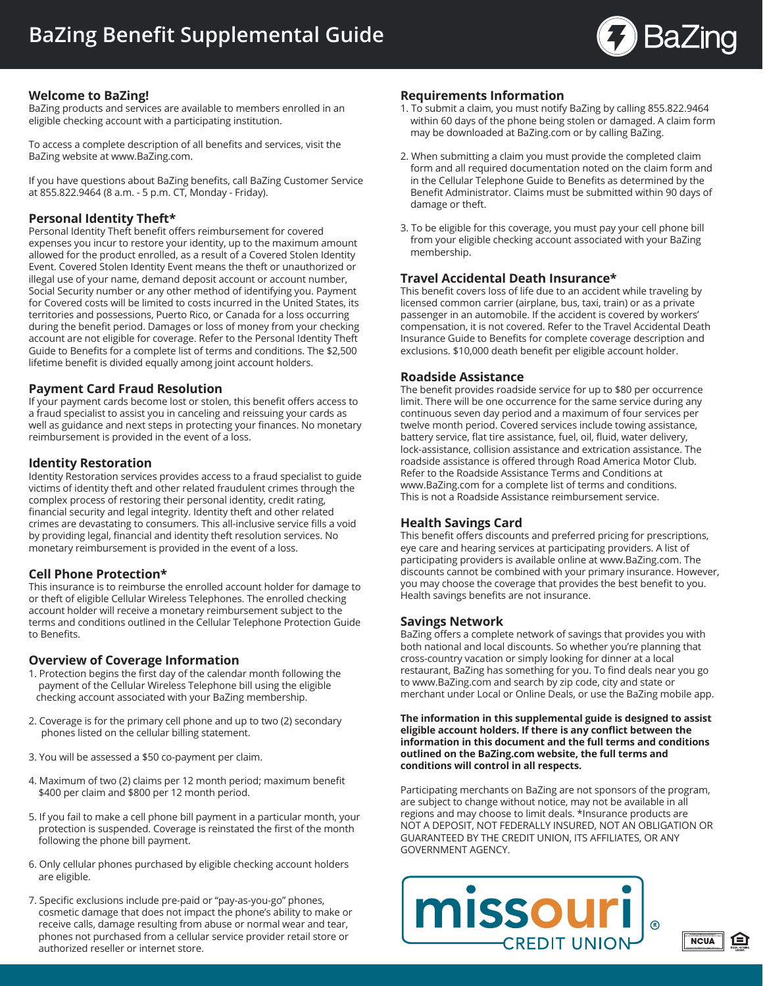

## **Welcome to BaZing!**

BaZing products and services are available to members enrolled in an eligible checking account with a participating institution.

To access a complete description of all benefits and services, visit the BaZing website at www.BaZing.com.

If you have questions about BaZing benefits, call BaZing Customer Service at 855.822.9464 (8 a.m. - 5 p.m. CT, Monday - Friday).

# **Personal Identity Theft\***

Personal Identity Theft benefit offers reimbursement for covered expenses you incur to restore your identity, up to the maximum amount allowed for the product enrolled, as a result of a Covered Stolen Identity Event. Covered Stolen Identity Event means the theft or unauthorized or illegal use of your name, demand deposit account or account number, Social Security number or any other method of identifying you. Payment for Covered costs will be limited to costs incurred in the United States, its territories and possessions, Puerto Rico, or Canada for a loss occurring during the benefit period. Damages or loss of money from your checking account are not eligible for coverage. Refer to the Personal Identity Theft Guide to Benefits for a complete list of terms and conditions. The \$2,500 lifetime benefit is divided equally among joint account holders.

## **Payment Card Fraud Resolution**

If your payment cards become lost or stolen, this benefit offers access to a fraud specialist to assist you in canceling and reissuing your cards as well as guidance and next steps in protecting your finances. No monetary reimbursement is provided in the event of a loss.

#### **Identity Restoration**

Identity Restoration services provides access to a fraud specialist to guide victims of identity theft and other related fraudulent crimes through the complex process of restoring their personal identity, credit rating, financial security and legal integrity. Identity theft and other related crimes are devastating to consumers. This all-inclusive service fills a void by providing legal, financial and identity theft resolution services. No monetary reimbursement is provided in the event of a loss.

#### **Cell Phone Protection\***

This insurance is to reimburse the enrolled account holder for damage to or theft of eligible Cellular Wireless Telephones. The enrolled checking account holder will receive a monetary reimbursement subject to the terms and conditions outlined in the Cellular Telephone Protection Guide to Benefits.

#### **Overview of Coverage Information**

- 1. Protection begins the first day of the calendar month following the payment of the Cellular Wireless Telephone bill using the eligible checking account associated with your BaZing membership.
- 2. Coverage is for the primary cell phone and up to two (2) secondary phones listed on the cellular billing statement.
- 3. You will be assessed a \$50 co-payment per claim.
- 4. Maximum of two (2) claims per 12 month period; maximum benefit \$400 per claim and \$800 per 12 month period.
- 5. If you fail to make a cell phone bill payment in a particular month, your protection is suspended. Coverage is reinstated the first of the month following the phone bill payment.
- 6. Only cellular phones purchased by eligible checking account holders are eligible.
- 7. Specific exclusions include pre-paid or "pay-as-you-go" phones, cosmetic damage that does not impact the phone's ability to make or receive calls, damage resulting from abuse or normal wear and tear, phones not purchased from a cellular service provider retail store or authorized reseller or internet store.

#### **Requirements Information**

- 1. To submit a claim, you must notify BaZing by calling 855.822.9464 within 60 days of the phone being stolen or damaged. A claim form may be downloaded at BaZing.com or by calling BaZing.
- 2. When submitting a claim you must provide the completed claim form and all required documentation noted on the claim form and in the Cellular Telephone Guide to Benefits as determined by the Benefit Administrator. Claims must be submitted within 90 days of damage or theft.
- 3. To be eligible for this coverage, you must pay your cell phone bill from your eligible checking account associated with your BaZing membership.

## **Travel Accidental Death Insurance\***

This benefit covers loss of life due to an accident while traveling by licensed common carrier (airplane, bus, taxi, train) or as a private passenger in an automobile. If the accident is covered by workers' compensation, it is not covered. Refer to the Travel Accidental Death Insurance Guide to Benefits for complete coverage description and exclusions. \$10,000 death benefit per eligible account holder.

#### **Roadside Assistance**

The benefit provides roadside service for up to \$80 per occurrence limit. There will be one occurrence for the same service during any continuous seven day period and a maximum of four services per twelve month period. Covered services include towing assistance, battery service, flat tire assistance, fuel, oil, fluid, water delivery, lock-assistance, collision assistance and extrication assistance. The roadside assistance is offered through Road America Motor Club. Refer to the Roadside Assistance Terms and Conditions at www.BaZing.com for a complete list of terms and conditions. This is not a Roadside Assistance reimbursement service.

## **Health Savings Card**

This benefit offers discounts and preferred pricing for prescriptions, eye care and hearing services at participating providers. A list of participating providers is available online at www.BaZing.com. The discounts cannot be combined with your primary insurance. However, you may choose the coverage that provides the best benefit to you. Health savings benefits are not insurance.

#### **Savings Network**

BaZing offers a complete network of savings that provides you with both national and local discounts. So whether you're planning that cross-country vacation or simply looking for dinner at a local restaurant, BaZing has something for you. To find deals near you go to www.BaZing.com and search by zip code, city and state or merchant under Local or Online Deals, or use the BaZing mobile app.

**The information in this supplemental guide is designed to assist eligible account holders. If there is any conflict between the information in this document and the full terms and conditions outlined on the BaZing.com website, the full terms and conditions will control in all respects.**

Participating merchants on BaZing are not sponsors of the program, are subject to change without notice, may not be available in all regions and may choose to limit deals. \*Insurance products are NOT A DEPOSIT, NOT FEDERALLY INSURED, NOT AN OBLIGATION OR GUARANTEED BY THE CREDIT UNION, ITS AFFILIATES, OR ANY GOVERNMENT AGENCY.